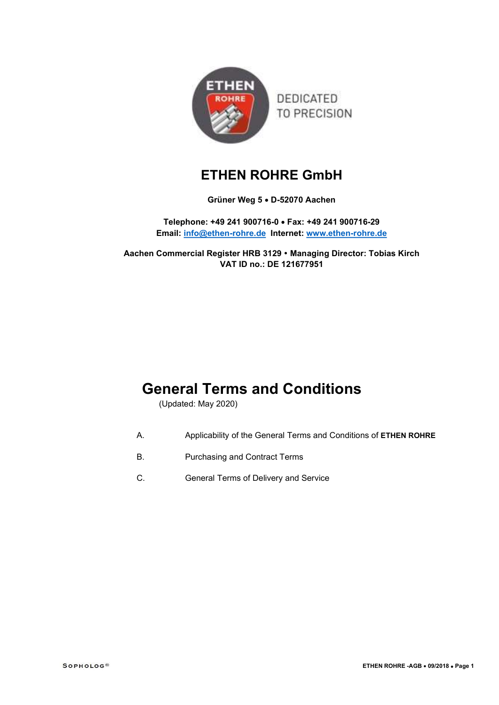

# ETHEN ROHRE GmbH

# Grüner Weg 5 · D-52070 Aachen

Telephone: +49 241 900716-0 Fax: +49 241 900716-29 Email: info@ethen-rohre.de Internet: www.ethen-rohre.de

Aachen Commercial Register HRB 3129 Managing Director: Tobias Kirch VAT ID no.: DE 121677951

# General Terms and Conditions

(Updated: May 2020)

- A. Applicability of the General Terms and Conditions of ETHEN ROHRE
- B. Purchasing and Contract Terms
- C. General Terms of Delivery and Service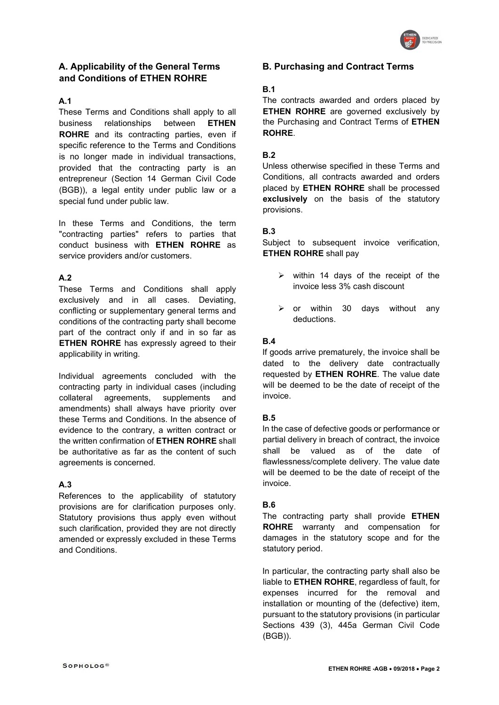

# A. Applicability of the General Terms and Conditions of ETHEN ROHRE

## A.1

These Terms and Conditions shall apply to all business relationships between ETHEN ROHRE and its contracting parties, even if specific reference to the Terms and Conditions is no longer made in individual transactions, provided that the contracting party is an entrepreneur (Section 14 German Civil Code (BGB)), a legal entity under public law or a special fund under public law.

In these Terms and Conditions, the term "contracting parties" refers to parties that conduct business with ETHEN ROHRE as service providers and/or customers.

# A.2

These Terms and Conditions shall apply exclusively and in all cases. Deviating, conflicting or supplementary general terms and conditions of the contracting party shall become part of the contract only if and in so far as **ETHEN ROHRE** has expressly agreed to their applicability in writing.

Individual agreements concluded with the contracting party in individual cases (including collateral agreements, supplements and amendments) shall always have priority over these Terms and Conditions. In the absence of evidence to the contrary, a written contract or the written confirmation of ETHEN ROHRE shall be authoritative as far as the content of such agreements is concerned.

# A.3

References to the applicability of statutory provisions are for clarification purposes only. Statutory provisions thus apply even without such clarification, provided they are not directly amended or expressly excluded in these Terms and Conditions.

## B. Purchasing and Contract Terms

## B.1

The contracts awarded and orders placed by ETHEN ROHRE are governed exclusively by the Purchasing and Contract Terms of ETHEN **ROHRE** 

## B.2

Unless otherwise specified in these Terms and Conditions, all contracts awarded and orders placed by ETHEN ROHRE shall be processed exclusively on the basis of the statutory provisions.

## B.3

Subject to subsequent invoice verification, ETHEN ROHRE shall pay

- $\triangleright$  within 14 days of the receipt of the invoice less 3% cash discount
- $\geq$  or within 30 days without any deductions.

## B.4

If goods arrive prematurely, the invoice shall be dated to the delivery date contractually requested by **ETHEN ROHRE**. The value date will be deemed to be the date of receipt of the invoice.

## B.5

In the case of defective goods or performance or partial delivery in breach of contract, the invoice shall be valued as of the date of flawlessness/complete delivery. The value date will be deemed to be the date of receipt of the invoice.

## B.6

The contracting party shall provide **ETHEN** ROHRE warranty and compensation for damages in the statutory scope and for the statutory period.

In particular, the contracting party shall also be liable to ETHEN ROHRE, regardless of fault, for expenses incurred for the removal and installation or mounting of the (defective) item, pursuant to the statutory provisions (in particular Sections 439 (3), 445a German Civil Code (BGB)).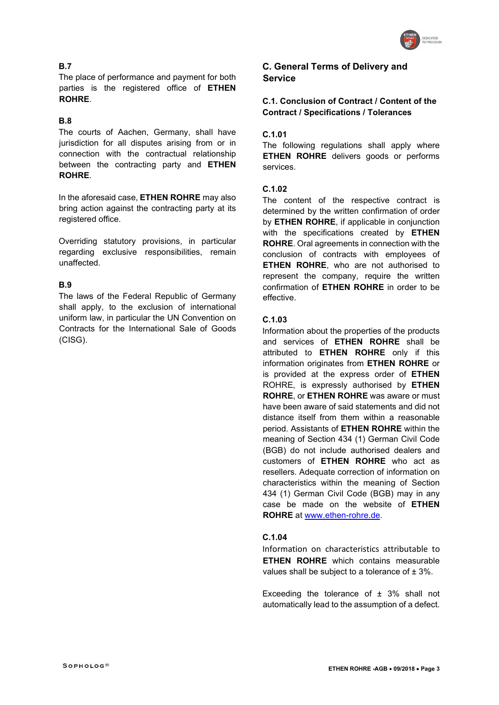

# B.7

The place of performance and payment for both parties is the registered office of ETHEN ROHRE.

# B.8

The courts of Aachen, Germany, shall have jurisdiction for all disputes arising from or in connection with the contractual relationship between the contracting party and **ETHEN** ROHRE.

In the aforesaid case, **ETHEN ROHRE** may also bring action against the contracting party at its registered office.

Overriding statutory provisions, in particular regarding exclusive responsibilities, remain unaffected.

# B.9

The laws of the Federal Republic of Germany shall apply, to the exclusion of international uniform law, in particular the UN Convention on Contracts for the International Sale of Goods (CISG).

# C. General Terms of Delivery and **Service**

C.1. Conclusion of Contract / Content of the Contract / Specifications / Tolerances

# C.1.01

The following regulations shall apply where ETHEN ROHRE delivers goods or performs services.

## C.1.02

The content of the respective contract is determined by the written confirmation of order by ETHEN ROHRE, if applicable in conjunction with the specifications created by **ETHEN** ROHRE. Oral agreements in connection with the conclusion of contracts with employees of ETHEN ROHRE, who are not authorised to represent the company, require the written confirmation of ETHEN ROHRE in order to be effective.

# C.1.03

Information about the properties of the products and services of ETHEN ROHRE shall be attributed to **ETHEN ROHRE** only if this information originates from ETHEN ROHRE or is provided at the express order of **ETHEN** ROHRE, is expressly authorised by ETHEN ROHRE, or ETHEN ROHRE was aware or must have been aware of said statements and did not distance itself from them within a reasonable period. Assistants of ETHEN ROHRE within the meaning of Section 434 (1) German Civil Code (BGB) do not include authorised dealers and customers of ETHEN ROHRE who act as resellers. Adequate correction of information on characteristics within the meaning of Section 434 (1) German Civil Code (BGB) may in any case be made on the website of ETHEN ROHRE at www.ethen-rohre.de.

# C.1.04

Information on characteristics attributable to ETHEN ROHRE which contains measurable values shall be subject to a tolerance of  $\pm 3\%$ .

Exceeding the tolerance of  $\pm$  3% shall not automatically lead to the assumption of a defect.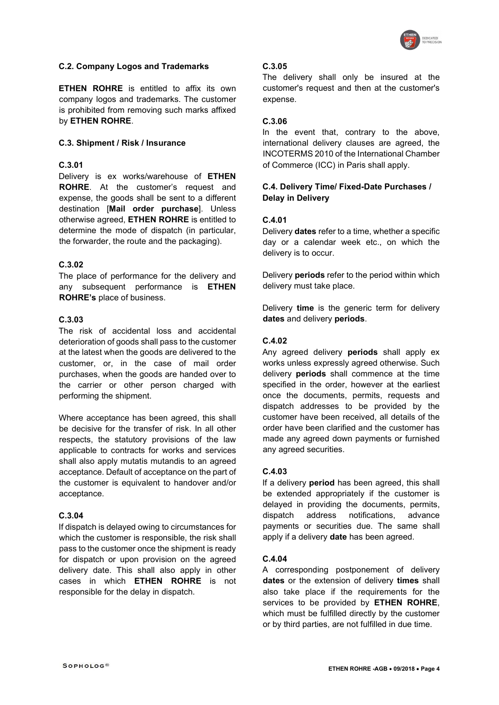

## C.2. Company Logos and Trademarks

**ETHEN ROHRE** is entitled to affix its own company logos and trademarks. The customer is prohibited from removing such marks affixed by ETHEN ROHRE.

#### C.3. Shipment / Risk / Insurance

#### C.3.01

Delivery is ex works/warehouse of ETHEN ROHRE. At the customer's request and expense, the goods shall be sent to a different destination [Mail order purchase]. Unless otherwise agreed, ETHEN ROHRE is entitled to determine the mode of dispatch (in particular, the forwarder, the route and the packaging).

#### C.3.02

The place of performance for the delivery and any subsequent performance is **ETHEN** ROHRE's place of business.

#### C.3.03

The risk of accidental loss and accidental deterioration of goods shall pass to the customer at the latest when the goods are delivered to the customer, or, in the case of mail order purchases, when the goods are handed over to the carrier or other person charged with performing the shipment.

Where acceptance has been agreed, this shall be decisive for the transfer of risk. In all other respects, the statutory provisions of the law applicable to contracts for works and services shall also apply mutatis mutandis to an agreed acceptance. Default of acceptance on the part of the customer is equivalent to handover and/or acceptance.

#### C.3.04

If dispatch is delayed owing to circumstances for which the customer is responsible, the risk shall pass to the customer once the shipment is ready for dispatch or upon provision on the agreed delivery date. This shall also apply in other cases in which ETHEN ROHRE is not responsible for the delay in dispatch.

#### C.3.05

The delivery shall only be insured at the customer's request and then at the customer's expense.

#### C.3.06

In the event that, contrary to the above, international delivery clauses are agreed, the INCOTERMS 2010 of the International Chamber of Commerce (ICC) in Paris shall apply.

## C.4. Delivery Time/ Fixed-Date Purchases / Delay in Delivery

## C.4.01

Delivery dates refer to a time, whether a specific day or a calendar week etc., on which the delivery is to occur.

Delivery **periods** refer to the period within which delivery must take place.

Delivery **time** is the generic term for delivery dates and delivery periods.

#### C.4.02

Any agreed delivery **periods** shall apply ex works unless expressly agreed otherwise. Such delivery periods shall commence at the time specified in the order, however at the earliest once the documents, permits, requests and dispatch addresses to be provided by the customer have been received, all details of the order have been clarified and the customer has made any agreed down payments or furnished any agreed securities.

#### C.4.03

If a delivery **period** has been agreed, this shall be extended appropriately if the customer is delayed in providing the documents, permits, dispatch address notifications, advance payments or securities due. The same shall apply if a delivery **date** has been agreed.

#### C.4.04

A corresponding postponement of delivery dates or the extension of delivery times shall also take place if the requirements for the services to be provided by **ETHEN ROHRE**, which must be fulfilled directly by the customer or by third parties, are not fulfilled in due time.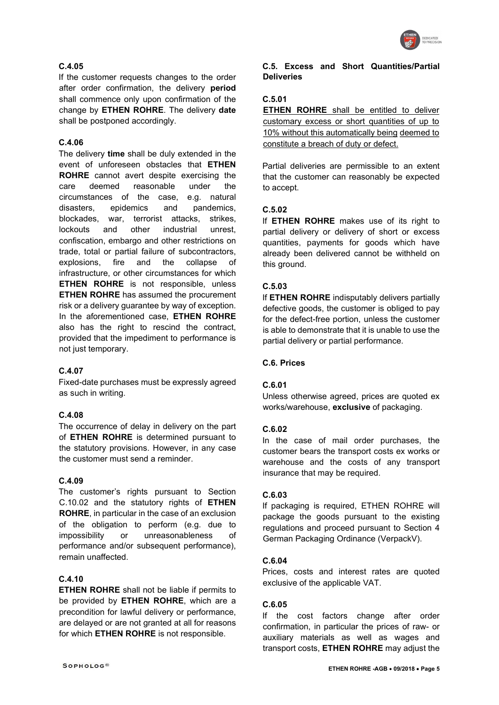

# C.4.05

If the customer requests changes to the order after order confirmation, the delivery period shall commence only upon confirmation of the change by ETHEN ROHRE. The delivery date shall be postponed accordingly.

## C.4.06

The delivery time shall be duly extended in the event of unforeseen obstacles that ETHEN ROHRE cannot avert despite exercising the care deemed reasonable under the circumstances of the case, e.g. natural disasters, epidemics and pandemics, blockades, war, terrorist attacks, strikes, lockouts and other industrial unrest, confiscation, embargo and other restrictions on trade, total or partial failure of subcontractors, explosions, fire and the collapse of infrastructure, or other circumstances for which ETHEN ROHRE is not responsible, unless ETHEN ROHRE has assumed the procurement risk or a delivery guarantee by way of exception. In the aforementioned case, ETHEN ROHRE also has the right to rescind the contract, provided that the impediment to performance is not just temporary.

#### C.4.07

Fixed-date purchases must be expressly agreed as such in writing.

## C.4.08

The occurrence of delay in delivery on the part of ETHEN ROHRE is determined pursuant to the statutory provisions. However, in any case the customer must send a reminder.

#### C.4.09

The customer's rights pursuant to Section C.10.02 and the statutory rights of **ETHEN** ROHRE, in particular in the case of an exclusion of the obligation to perform (e.g. due to impossibility or unreasonableness of performance and/or subsequent performance), remain unaffected.

## C.4.10

ETHEN ROHRE shall not be liable if permits to be provided by **ETHEN ROHRE**, which are a precondition for lawful delivery or performance, are delayed or are not granted at all for reasons for which ETHEN ROHRE is not responsible.

#### C.5. Excess and Short Quantities/Partial **Deliveries**

# C.5.01

**ETHEN ROHRE** shall be entitled to deliver customary excess or short quantities of up to 10% without this automatically being deemed to constitute a breach of duty or defect.

Partial deliveries are permissible to an extent that the customer can reasonably be expected to accept.

#### C.5.02

If ETHEN ROHRE makes use of its right to partial delivery or delivery of short or excess quantities, payments for goods which have already been delivered cannot be withheld on this ground.

#### C.5.03

If ETHEN ROHRE indisputably delivers partially defective goods, the customer is obliged to pay for the defect-free portion, unless the customer is able to demonstrate that it is unable to use the partial delivery or partial performance.

#### C.6. Prices

#### C.6.01

Unless otherwise agreed, prices are quoted ex works/warehouse, exclusive of packaging.

## C.6.02

In the case of mail order purchases, the customer bears the transport costs ex works or warehouse and the costs of any transport insurance that may be required.

#### C.6.03

If packaging is required, ETHEN ROHRE will package the goods pursuant to the existing regulations and proceed pursuant to Section 4 German Packaging Ordinance (VerpackV).

#### C.6.04

Prices, costs and interest rates are quoted exclusive of the applicable VAT.

## C.6.05

If the cost factors change after order confirmation, in particular the prices of raw- or auxiliary materials as well as wages and transport costs, ETHEN ROHRE may adjust the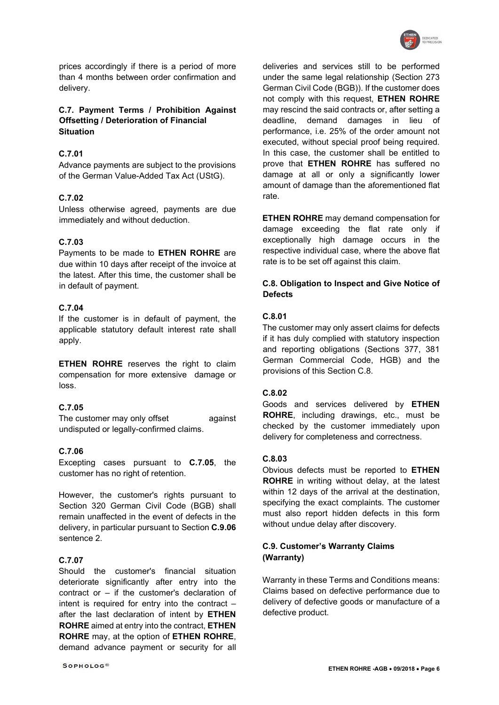

prices accordingly if there is a period of more than 4 months between order confirmation and delivery.

## C.7. Payment Terms / Prohibition Against Offsetting / Deterioration of Financial **Situation**

## C.7.01

Advance payments are subject to the provisions of the German Value-Added Tax Act (UStG).

#### C.7.02

Unless otherwise agreed, payments are due immediately and without deduction.

#### C.7.03

Payments to be made to ETHEN ROHRE are due within 10 days after receipt of the invoice at the latest. After this time, the customer shall be in default of payment.

## C.7.04

If the customer is in default of payment, the applicable statutory default interest rate shall apply.

**ETHEN ROHRE** reserves the right to claim compensation for more extensive damage or loss.

#### C.7.05

The customer may only offset against undisputed or legally-confirmed claims.

#### C.7.06

Excepting cases pursuant to C.7.05, the customer has no right of retention.

However, the customer's rights pursuant to Section 320 German Civil Code (BGB) shall remain unaffected in the event of defects in the delivery, in particular pursuant to Section C.9.06 sentence 2.

## C.7.07

Should the customer's financial situation deteriorate significantly after entry into the contract or – if the customer's declaration of intent is required for entry into the contract  $$ after the last declaration of intent by ETHEN ROHRE aimed at entry into the contract, ETHEN ROHRE may, at the option of ETHEN ROHRE, demand advance payment or security for all deliveries and services still to be performed under the same legal relationship (Section 273 German Civil Code (BGB)). If the customer does not comply with this request. ETHEN ROHRE may rescind the said contracts or, after setting a deadline, demand damages in lieu of performance, i.e. 25% of the order amount not executed, without special proof being required. In this case, the customer shall be entitled to prove that **ETHEN ROHRE** has suffered no damage at all or only a significantly lower amount of damage than the aforementioned flat rate.

**ETHEN ROHRE** may demand compensation for damage exceeding the flat rate only if exceptionally high damage occurs in the respective individual case, where the above flat rate is to be set off against this claim.

#### C.8. Obligation to Inspect and Give Notice of **Defects**

## C.8.01

The customer may only assert claims for defects if it has duly complied with statutory inspection and reporting obligations (Sections 377, 381 German Commercial Code, HGB) and the provisions of this Section C.8.

#### C.8.02

Goods and services delivered by ETHEN ROHRE, including drawings, etc., must be checked by the customer immediately upon delivery for completeness and correctness.

#### C.8.03

Obvious defects must be reported to ETHEN ROHRE in writing without delay, at the latest within 12 days of the arrival at the destination, specifying the exact complaints. The customer must also report hidden defects in this form without undue delay after discovery.

## C.9. Customer's Warranty Claims (Warranty)

Warranty in these Terms and Conditions means: Claims based on defective performance due to delivery of defective goods or manufacture of a defective product.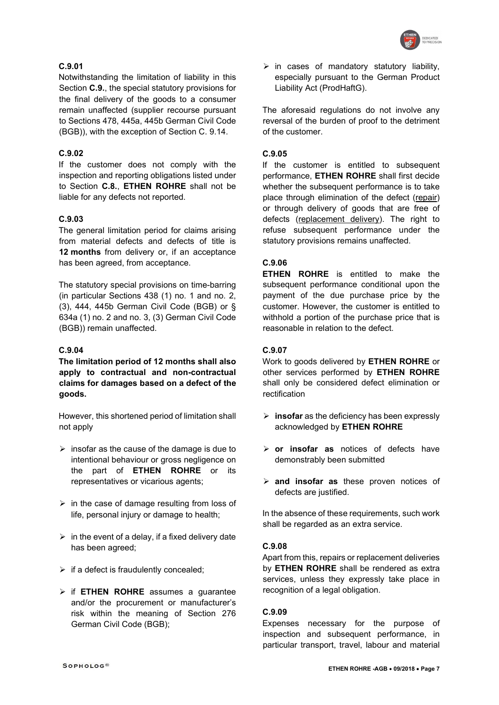

## C.9.01

Notwithstanding the limitation of liability in this Section C.9., the special statutory provisions for the final delivery of the goods to a consumer remain unaffected (supplier recourse pursuant to Sections 478, 445a, 445b German Civil Code (BGB)), with the exception of Section C. 9.14.

# C.9.02

If the customer does not comply with the inspection and reporting obligations listed under to Section C.8., ETHEN ROHRE shall not be liable for any defects not reported.

## C.9.03

The general limitation period for claims arising from material defects and defects of title is 12 months from delivery or, if an acceptance has been agreed, from acceptance.

The statutory special provisions on time-barring (in particular Sections 438 (1) no. 1 and no. 2, (3), 444, 445b German Civil Code (BGB) or § 634a (1) no. 2 and no. 3, (3) German Civil Code (BGB)) remain unaffected.

## C.9.04

The limitation period of 12 months shall also apply to contractual and non-contractual claims for damages based on a defect of the goods.

However, this shortened period of limitation shall not apply

- $\triangleright$  insofar as the cause of the damage is due to intentional behaviour or gross negligence on the part of ETHEN ROHRE or its representatives or vicarious agents;
- $\triangleright$  in the case of damage resulting from loss of life, personal injury or damage to health;
- $\triangleright$  in the event of a delay, if a fixed delivery date has been agreed;
- $\triangleright$  if a defect is fraudulently concealed;
- $\triangleright$  if ETHEN ROHRE assumes a quarantee and/or the procurement or manufacturer's risk within the meaning of Section 276 German Civil Code (BGB);

 $\triangleright$  in cases of mandatory statutory liability, especially pursuant to the German Product Liability Act (ProdHaftG).

The aforesaid regulations do not involve any reversal of the burden of proof to the detriment of the customer.

#### C.9.05

If the customer is entitled to subsequent performance, ETHEN ROHRE shall first decide whether the subsequent performance is to take place through elimination of the defect (repair) or through delivery of goods that are free of defects (replacement delivery). The right to refuse subsequent performance under the statutory provisions remains unaffected.

#### C.9.06

ETHEN ROHRE is entitled to make the subsequent performance conditional upon the payment of the due purchase price by the customer. However, the customer is entitled to withhold a portion of the purchase price that is reasonable in relation to the defect.

#### C.9.07

Work to goods delivered by ETHEN ROHRE or other services performed by ETHEN ROHRE shall only be considered defect elimination or rectification

- $\triangleright$  insofar as the deficiency has been expressly acknowledged by ETHEN ROHRE
- $\triangleright$  or insofar as notices of defects have demonstrably been submitted
- $\triangleright$  and insofar as these proven notices of defects are justified.

In the absence of these requirements, such work shall be regarded as an extra service.

## C.9.08

Apart from this, repairs or replacement deliveries by **ETHEN ROHRE** shall be rendered as extra services, unless they expressly take place in recognition of a legal obligation.

#### C.9.09

Expenses necessary for the purpose of inspection and subsequent performance, in particular transport, travel, labour and material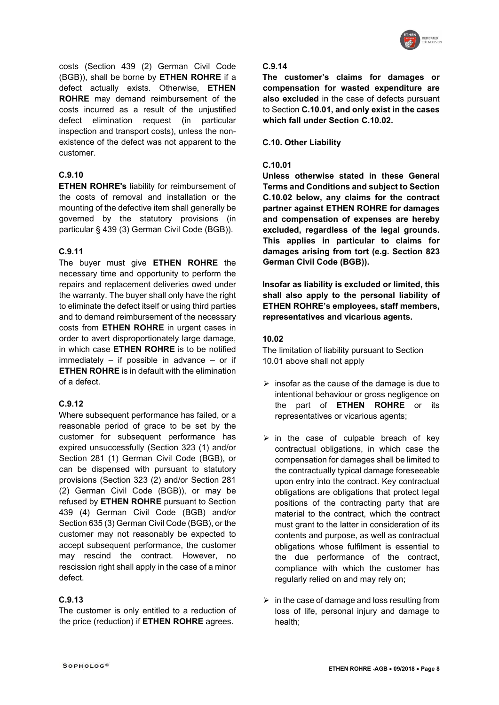

costs (Section 439 (2) German Civil Code (BGB)), shall be borne by ETHEN ROHRE if a defect actually exists. Otherwise, ETHEN ROHRE may demand reimbursement of the costs incurred as a result of the unjustified defect elimination request (in particular inspection and transport costs), unless the nonexistence of the defect was not apparent to the customer.

## C.9.10

ETHEN ROHRE's liability for reimbursement of the costs of removal and installation or the mounting of the defective item shall generally be governed by the statutory provisions (in particular § 439 (3) German Civil Code (BGB)).

#### C.9.11

The buyer must give **ETHEN ROHRE** the necessary time and opportunity to perform the repairs and replacement deliveries owed under the warranty. The buyer shall only have the right to eliminate the defect itself or using third parties and to demand reimbursement of the necessary costs from ETHEN ROHRE in urgent cases in order to avert disproportionately large damage, in which case **ETHEN ROHRE** is to be notified immediately – if possible in advance – or if ETHEN ROHRE is in default with the elimination of a defect.

## C.9.12

Where subsequent performance has failed, or a reasonable period of grace to be set by the customer for subsequent performance has expired unsuccessfully (Section 323 (1) and/or Section 281 (1) German Civil Code (BGB), or can be dispensed with pursuant to statutory provisions (Section 323 (2) and/or Section 281 (2) German Civil Code (BGB)), or may be refused by ETHEN ROHRE pursuant to Section 439 (4) German Civil Code (BGB) and/or Section 635 (3) German Civil Code (BGB), or the customer may not reasonably be expected to accept subsequent performance, the customer may rescind the contract. However, no rescission right shall apply in the case of a minor defect.

## C.9.13

The customer is only entitled to a reduction of the price (reduction) if **ETHEN ROHRE** agrees.

#### C.9.14

The customer's claims for damages or compensation for wasted expenditure are also excluded in the case of defects pursuant to Section C.10.01, and only exist in the cases which fall under Section C.10.02.

C.10. Other Liability

#### C.10.01

Unless otherwise stated in these General Terms and Conditions and subject to Section C.10.02 below, any claims for the contract partner against ETHEN ROHRE for damages and compensation of expenses are hereby excluded, regardless of the legal grounds. This applies in particular to claims for damages arising from tort (e.g. Section 823 German Civil Code (BGB)).

Insofar as liability is excluded or limited, this shall also apply to the personal liability of ETHEN ROHRE's employees, staff members, representatives and vicarious agents.

#### 10.02

The limitation of liability pursuant to Section 10.01 above shall not apply

- $\triangleright$  insofar as the cause of the damage is due to intentional behaviour or gross negligence on the part of ETHEN ROHRE or its representatives or vicarious agents;
- $\triangleright$  in the case of culpable breach of key contractual obligations, in which case the compensation for damages shall be limited to the contractually typical damage foreseeable upon entry into the contract. Key contractual obligations are obligations that protect legal positions of the contracting party that are material to the contract, which the contract must grant to the latter in consideration of its contents and purpose, as well as contractual obligations whose fulfilment is essential to the due performance of the contract, compliance with which the customer has regularly relied on and may rely on;
- $\triangleright$  in the case of damage and loss resulting from loss of life, personal injury and damage to health;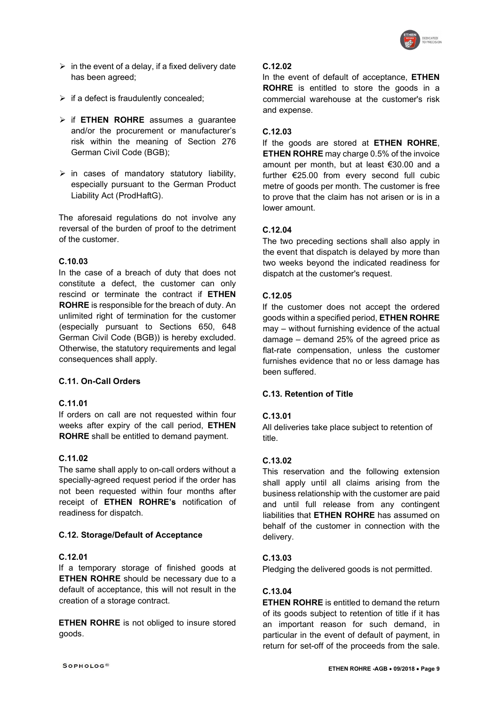

- $\triangleright$  in the event of a delay, if a fixed delivery date has been agreed;
- $\triangleright$  if a defect is fraudulently concealed;
- $\triangleright$  if ETHEN ROHRE assumes a guarantee and/or the procurement or manufacturer's risk within the meaning of Section 276 German Civil Code (BGB);
- $\triangleright$  in cases of mandatory statutory liability, especially pursuant to the German Product Liability Act (ProdHaftG).

The aforesaid regulations do not involve any reversal of the burden of proof to the detriment of the customer.

## C.10.03

In the case of a breach of duty that does not constitute a defect, the customer can only rescind or terminate the contract if ETHEN ROHRE is responsible for the breach of duty. An unlimited right of termination for the customer (especially pursuant to Sections 650, 648 German Civil Code (BGB)) is hereby excluded. Otherwise, the statutory requirements and legal consequences shall apply.

## C.11. On-Call Orders

## C.11.01

If orders on call are not requested within four weeks after expiry of the call period, ETHEN ROHRE shall be entitled to demand payment.

# C.11.02

The same shall apply to on-call orders without a specially-agreed request period if the order has not been requested within four months after receipt of ETHEN ROHRE's notification of readiness for dispatch.

## C.12. Storage/Default of Acceptance

## C.12.01

If a temporary storage of finished goods at ETHEN ROHRE should be necessary due to a default of acceptance, this will not result in the creation of a storage contract.

**ETHEN ROHRE** is not obliged to insure stored goods.

#### C.12.02

In the event of default of acceptance, ETHEN ROHRE is entitled to store the goods in a commercial warehouse at the customer's risk and expense.

## C.12.03

If the goods are stored at **ETHEN ROHRE**. **ETHEN ROHRE** may charge 0.5% of the invoice amount per month, but at least €30.00 and a further €25.00 from every second full cubic metre of goods per month. The customer is free to prove that the claim has not arisen or is in a lower amount.

## C.12.04

The two preceding sections shall also apply in the event that dispatch is delayed by more than two weeks beyond the indicated readiness for dispatch at the customer's request.

## C.12.05

If the customer does not accept the ordered goods within a specified period, ETHEN ROHRE may – without furnishing evidence of the actual damage – demand 25% of the agreed price as flat-rate compensation, unless the customer furnishes evidence that no or less damage has been suffered.

# C.13. Retention of Title

## C.13.01

All deliveries take place subject to retention of title.

## C.13.02

This reservation and the following extension shall apply until all claims arising from the business relationship with the customer are paid and until full release from any contingent liabilities that **ETHEN ROHRE** has assumed on behalf of the customer in connection with the delivery.

# C.13.03

Pledging the delivered goods is not permitted.

# C.13.04

ETHEN ROHRE is entitled to demand the return of its goods subject to retention of title if it has an important reason for such demand, in particular in the event of default of payment, in return for set-off of the proceeds from the sale.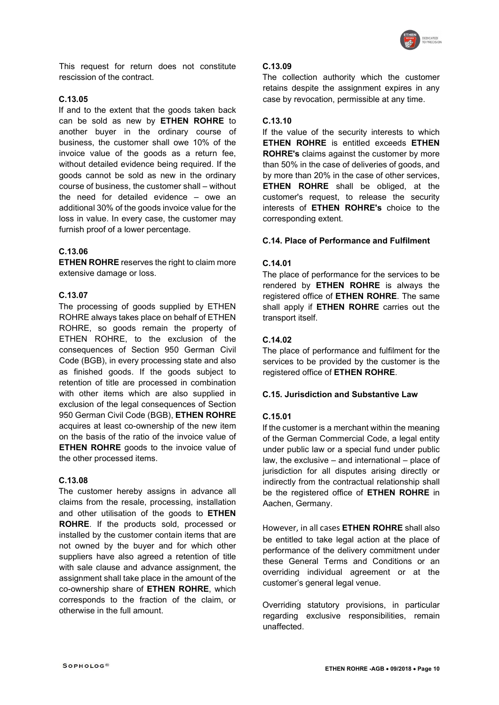

This request for return does not constitute rescission of the contract.

#### C.13.05

If and to the extent that the goods taken back can be sold as new by ETHEN ROHRE to another buyer in the ordinary course of business, the customer shall owe 10% of the invoice value of the goods as a return fee, without detailed evidence being required. If the goods cannot be sold as new in the ordinary course of business, the customer shall – without the need for detailed evidence – owe an additional 30% of the goods invoice value for the loss in value. In every case, the customer may furnish proof of a lower percentage.

## C.13.06

ETHEN ROHRE reserves the right to claim more extensive damage or loss.

## C.13.07

The processing of goods supplied by ETHEN ROHRE always takes place on behalf of ETHEN ROHRE, so goods remain the property of ETHEN ROHRE, to the exclusion of the consequences of Section 950 German Civil Code (BGB), in every processing state and also as finished goods. If the goods subject to retention of title are processed in combination with other items which are also supplied in exclusion of the legal consequences of Section 950 German Civil Code (BGB), ETHEN ROHRE acquires at least co-ownership of the new item on the basis of the ratio of the invoice value of ETHEN ROHRE goods to the invoice value of the other processed items.

## C.13.08

The customer hereby assigns in advance all claims from the resale, processing, installation and other utilisation of the goods to ETHEN ROHRE. If the products sold, processed or installed by the customer contain items that are not owned by the buyer and for which other suppliers have also agreed a retention of title with sale clause and advance assignment, the assignment shall take place in the amount of the co-ownership share of ETHEN ROHRE, which corresponds to the fraction of the claim, or otherwise in the full amount.

#### C.13.09

The collection authority which the customer retains despite the assignment expires in any case by revocation, permissible at any time.

# C.13.10

If the value of the security interests to which ETHEN ROHRE is entitled exceeds ETHEN ROHRE's claims against the customer by more than 50% in the case of deliveries of goods, and by more than 20% in the case of other services, ETHEN ROHRE shall be obliged, at the customer's request, to release the security interests of ETHEN ROHRE's choice to the corresponding extent.

## C.14. Place of Performance and Fulfilment

#### C.14.01

The place of performance for the services to be rendered by ETHEN ROHRE is always the registered office of **ETHEN ROHRE**. The same shall apply if **ETHEN ROHRE** carries out the transport itself.

## C.14.02

The place of performance and fulfilment for the services to be provided by the customer is the registered office of ETHEN ROHRE.

## C.15. Jurisdiction and Substantive Law

## C.15.01

If the customer is a merchant within the meaning of the German Commercial Code, a legal entity under public law or a special fund under public law, the exclusive – and international – place of jurisdiction for all disputes arising directly or indirectly from the contractual relationship shall be the registered office of ETHEN ROHRE in Aachen, Germany.

However, in all cases ETHEN ROHRE shall also be entitled to take legal action at the place of performance of the delivery commitment under these General Terms and Conditions or an overriding individual agreement or at the customer's general legal venue.

Overriding statutory provisions, in particular regarding exclusive responsibilities, remain unaffected.